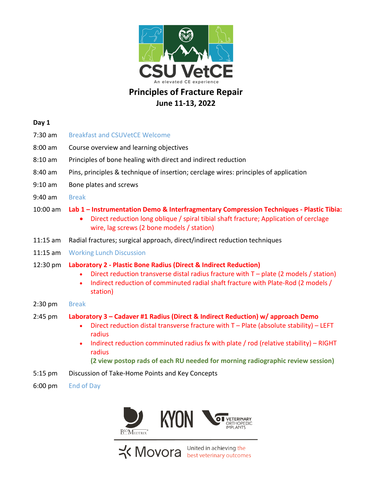

# **Principles of Fracture Repair June 11-13, 2022**

### **Day 1**

- 7:30 am Breakfast and CSUVetCE Welcome
- 8:00 am Course overview and learning objectives
- 8:10 am Principles of bone healing with direct and indirect reduction
- 8:40 am Pins, principles & technique of insertion; cerclage wires: principles of application
- 9:10 am Bone plates and screws
- 9:40 am Break

### 10:00 am **Lab 1 – Instrumentation Demo & Interfragmentary Compression Techniques - Plastic Tibia:**

- Direct reduction long oblique / spiral tibial shaft fracture; Application of cerclage wire, lag screws (2 bone models / station)
- 11:15 am Radial fractures; surgical approach, direct/indirect reduction techniques
- 11:15 am Working Lunch Discussion

#### 12:30 pm **Laboratory 2 - Plastic Bone Radius (Direct & Indirect Reduction)**

- Direct reduction transverse distal radius fracture with T plate (2 models / station)
- Indirect reduction of comminuted radial shaft fracture with Plate-Rod (2 models / station)
- 2:30 pm Break

## 2:45 pm **Laboratory 3 – Cadaver #1 Radius (Direct & Indirect Reduction) w/ approach Demo**

- Direct reduction distal transverse fracture with  $T -$  Plate (absolute stability) LEFT radius
- Indirect reduction comminuted radius fx with plate / rod (relative stability) RIGHT radius

**(2 view postop rads of each RU needed for morning radiographic review session)**

- 5:15 pm Discussion of Take-Home Points and Key Concepts
- 6:00 pm End of Day



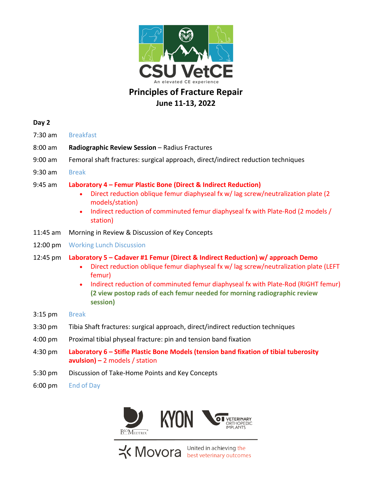

# **Principles of Fracture Repair June 11-13, 2022**

# **Day 2**

- 7:30 am Breakfast
- 8:00 am **Radiographic Review Session** Radius Fractures
- 9:00 am Femoral shaft fractures: surgical approach, direct/indirect reduction techniques
- 9:30 am Break

## 9:45 am **Laboratory 4 – Femur Plastic Bone (Direct & Indirect Reduction)**

- Direct reduction oblique femur diaphyseal fx w/ lag screw/neutralization plate (2 models/station)
- Indirect reduction of comminuted femur diaphyseal fx with Plate-Rod (2 models / station)
- 11:45 am Morning in Review & Discussion of Key Concepts
- 12:00 pm Working Lunch Discussion

## 12:45 pm **Laboratory 5 – Cadaver #1 Femur (Direct & Indirect Reduction) w/ approach Demo**

- Direct reduction oblique femur diaphyseal fx w/lag screw/neutralization plate (LEFT femur)
- Indirect reduction of comminuted femur diaphyseal fx with Plate-Rod (RIGHT femur) **(2 view postop rads of each femur needed for morning radiographic review session)**
- 3:15 pm Break
- 3:30 pm Tibia Shaft fractures: surgical approach, direct/indirect reduction techniques
- 4:00 pm Proximal tibial physeal fracture: pin and tension band fixation
- 4:30 pm **Laboratory 6 – Stifle Plastic Bone Models (tension band fixation of tibial tuberosity avulsion) –** 2 models / station
- 5:30 pm Discussion of Take-Home Points and Key Concepts
- 6:00 pm End of Day